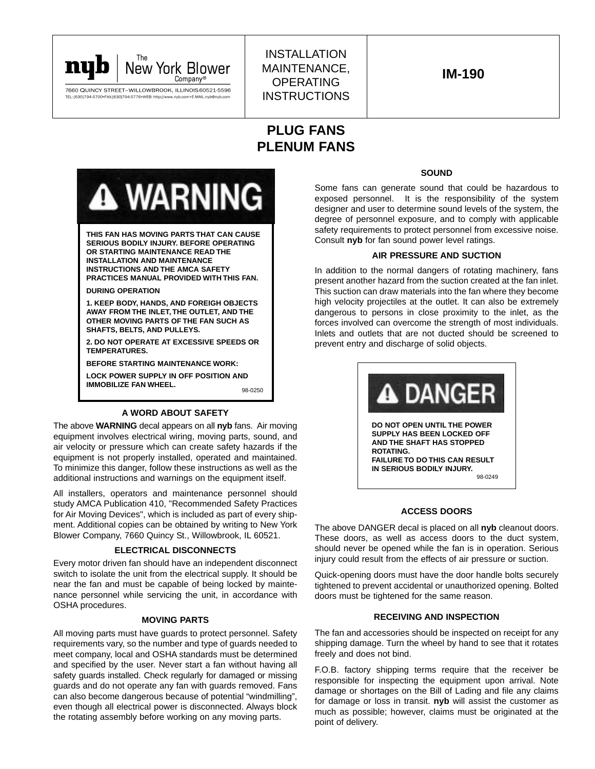

INSTALLATION MAINTENANCE, OPERATING **INSTRUCTIONS** 

# **PLUG FANS PLENUM FANS**



**2. DO NOT OPERATE AT EXCESSIVE SPEEDS OR TEMPERATURES.**

**BEFORE STARTING MAINTENANCE WORK:**

**LOCK POWER SUPPLY IN OFF POSITION AND IMMOBILIZE FAN WHEEL.** 98-0250

#### **A WORD ABOUT SAFETY**

The above **WARNING** decal appears on all **nyb** fans. Air moving equipment involves electrical wiring, moving parts, sound, and air velocity or pressure which can create safety hazards if the equipment is not properly installed, operated and maintained. To minimize this danger, follow these instructions as well as the additional instructions and warnings on the equipment itself.

All installers, operators and maintenance personnel should study AMCA Publication 410, "Recommended Safety Practices for Air Moving Devices", which is included as part of every shipment. Additional copies can be obtained by writing to New York Blower Company, 7660 Quincy St., Willowbrook, IL 60521.

## **ELECTRICAL DISCONNECTS**

Every motor driven fan should have an independent disconnect switch to isolate the unit from the electrical supply. It should be near the fan and must be capable of being locked by maintenance personnel while servicing the unit, in accordance with OSHA procedures.

#### **MOVING PARTS**

All moving parts must have guards to protect personnel. Safety requirements vary, so the number and type of guards needed to meet company, local and OSHA standards must be determined and specified by the user. Never start a fan without having all safety guards installed. Check regularly for damaged or missing guards and do not operate any fan with guards removed. Fans can also become dangerous because of potential "windmilling", even though all electrical power is disconnected. Always block the rotating assembly before working on any moving parts.

## **SOUND**

Some fans can generate sound that could be hazardous to exposed personnel. It is the responsibility of the system designer and user to determine sound levels of the system, the degree of personnel exposure, and to comply with applicable safety requirements to protect personnel from excessive noise. Consult **nyb** for fan sound power level ratings.

#### **AIR PRESSURE AND SUCTION**

In addition to the normal dangers of rotating machinery, fans present another hazard from the suction created at the fan inlet. This suction can draw materials into the fan where they become high velocity projectiles at the outlet. It can also be extremely dangerous to persons in close proximity to the inlet, as the forces involved can overcome the strength of most individuals. Inlets and outlets that are not ducted should be screened to prevent entry and discharge of solid objects.



#### **ACCESS DOORS**

The above DANGER decal is placed on all **nyb** cleanout doors. These doors, as well as access doors to the duct system, should never be opened while the fan is in operation. Serious injury could result from the effects of air pressure or suction.

Quick-opening doors must have the door handle bolts securely tightened to prevent accidental or unauthorized opening. Bolted doors must be tightened for the same reason.

#### **RECEIVING AND INSPECTION**

The fan and accessories should be inspected on receipt for any shipping damage. Turn the wheel by hand to see that it rotates freely and does not bind.

F.O.B. factory shipping terms require that the receiver be responsible for inspecting the equipment upon arrival. Note damage or shortages on the Bill of Lading and file any claims for damage or loss in transit. **nyb** will assist the customer as much as possible; however, claims must be originated at the point of delivery.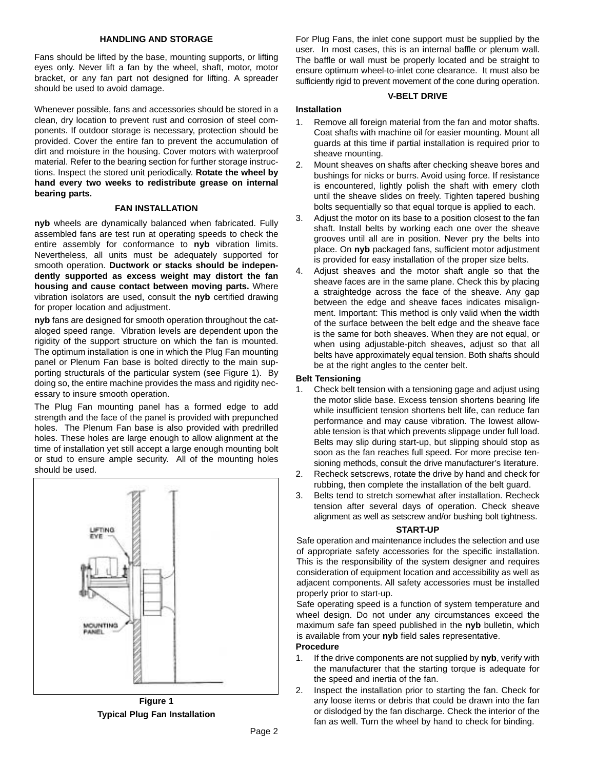#### **HANDLING AND STORAGE**

Fans should be lifted by the base, mounting supports, or lifting eyes only. Never lift a fan by the wheel, shaft, motor, motor bracket, or any fan part not designed for lifting. A spreader should be used to avoid damage.

Whenever possible, fans and accessories should be stored in a clean, dry location to prevent rust and corrosion of steel components. If outdoor storage is necessary, protection should be provided. Cover the entire fan to prevent the accumulation of dirt and moisture in the housing. Cover motors with waterproof material. Refer to the bearing section for further storage instructions. Inspect the stored unit periodically. **Rotate the wheel by hand every two weeks to redistribute grease on internal bearing parts.**

#### **FAN INSTALLATION**

**nyb** wheels are dynamically balanced when fabricated. Fully assembled fans are test run at operating speeds to check the entire assembly for conformance to **nyb** vibration limits. Nevertheless, all units must be adequately supported for smooth operation. **Ductwork or stacks should be independently supported as excess weight may distort the fan housing and cause contact between moving parts.** Where vibration isolators are used, consult the **nyb** certified drawing for proper location and adjustment.

**nyb** fans are designed for smooth operation throughout the cataloged speed range. Vibration levels are dependent upon the rigidity of the support structure on which the fan is mounted. The optimum installation is one in which the Plug Fan mounting panel or Plenum Fan base is bolted directly to the main supporting structurals of the particular system (see Figure 1). By doing so, the entire machine provides the mass and rigidity necessary to insure smooth operation.

The Plug Fan mounting panel has a formed edge to add strength and the face of the panel is provided with prepunched holes. The Plenum Fan base is also provided with predrilled holes. These holes are large enough to allow alignment at the time of installation yet still accept a large enough mounting bolt or stud to ensure ample security. All of the mounting holes should be used.



**Figure 1 Typical Plug Fan Installation**

For Plug Fans, the inlet cone support must be supplied by the user. In most cases, this is an internal baffle or plenum wall. The baffle or wall must be properly located and be straight to ensure optimum wheel-to-inlet cone clearance. It must also be sufficiently rigid to prevent movement of the cone during operation.

## **V-BELT DRIVE**

#### **Installation**

- 1. Remove all foreign material from the fan and motor shafts. Coat shafts with machine oil for easier mounting. Mount all guards at this time if partial installation is required prior to sheave mounting.
- 2. Mount sheaves on shafts after checking sheave bores and bushings for nicks or burrs. Avoid using force. If resistance is encountered, lightly polish the shaft with emery cloth until the sheave slides on freely. Tighten tapered bushing bolts sequentially so that equal torque is applied to each.
- 3. Adjust the motor on its base to a position closest to the fan shaft. Install belts by working each one over the sheave grooves until all are in position. Never pry the belts into place. On **nyb** packaged fans, sufficient motor adjustment is provided for easy installation of the proper size belts.
- 4. Adjust sheaves and the motor shaft angle so that the sheave faces are in the same plane. Check this by placing a straightedge across the face of the sheave. Any gap between the edge and sheave faces indicates misalignment. Important: This method is only valid when the width of the surface between the belt edge and the sheave face is the same for both sheaves. When they are not equal, or when using adjustable-pitch sheaves, adjust so that all belts have approximately equal tension. Both shafts should be at the right angles to the center belt.

## **Belt Tensioning**

- 1. Check belt tension with a tensioning gage and adjust using the motor slide base. Excess tension shortens bearing life while insufficient tension shortens belt life, can reduce fan performance and may cause vibration. The lowest allowable tension is that which prevents slippage under full load. Belts may slip during start-up, but slipping should stop as soon as the fan reaches full speed. For more precise tensioning methods, consult the drive manufacturer's literature.
- 2. Recheck setscrews, rotate the drive by hand and check for rubbing, then complete the installation of the belt guard.
- 3. Belts tend to stretch somewhat after installation. Recheck tension after several days of operation. Check sheave alignment as well as setscrew and/or bushing bolt tightness.

#### **START-UP**

Safe operation and maintenance includes the selection and use of appropriate safety accessories for the specific installation. This is the responsibility of the system designer and requires consideration of equipment location and accessibility as well as adjacent components. All safety accessories must be installed properly prior to start-up.

Safe operating speed is a function of system temperature and wheel design. Do not under any circumstances exceed the maximum safe fan speed published in the **nyb** bulletin, which is available from your **nyb** field sales representative.

#### **Procedure**

- 1. If the drive components are not supplied by **nyb**, verify with the manufacturer that the starting torque is adequate for the speed and inertia of the fan.
- 2. Inspect the installation prior to starting the fan. Check for any loose items or debris that could be drawn into the fan or dislodged by the fan discharge. Check the interior of the fan as well. Turn the wheel by hand to check for binding.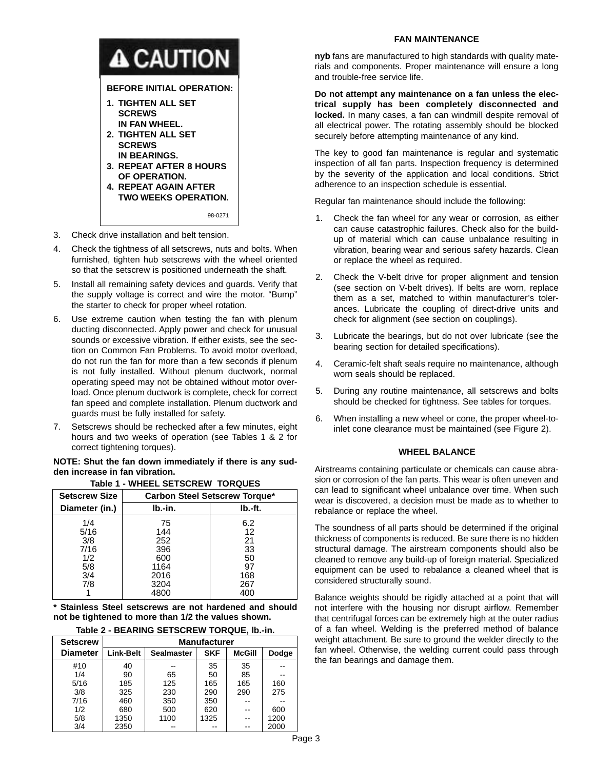

- 3. Check drive installation and belt tension.
- 4. Check the tightness of all setscrews, nuts and bolts. When furnished, tighten hub setscrews with the wheel oriented so that the setscrew is positioned underneath the shaft.
- 5. Install all remaining safety devices and guards. Verify that the supply voltage is correct and wire the motor. "Bump" the starter to check for proper wheel rotation.
- 6. Use extreme caution when testing the fan with plenum ducting disconnected. Apply power and check for unusual sounds or excessive vibration. If either exists, see the section on Common Fan Problems. To avoid motor overload, do not run the fan for more than a few seconds if plenum is not fully installed. Without plenum ductwork, normal operating speed may not be obtained without motor overload. Once plenum ductwork is complete, check for correct fan speed and complete installation. Plenum ductwork and guards must be fully installed for safety.
- 7. Setscrews should be rechecked after a few minutes, eight hours and two weeks of operation (see Tables 1 & 2 for correct tightening torques).

**NOTE: Shut the fan down immediately if there is any sudden increase in fan vibration.**

| <b>Setscrew Size</b> | <b>Carbon Steel Setscrew Torque*</b> |         |  |  |
|----------------------|--------------------------------------|---------|--|--|
| Diameter (in.)       | Ib.-in.                              | lb.-ft. |  |  |
| 1/4                  | 75                                   | 6.2     |  |  |
| 5/16                 | 144                                  | 12      |  |  |
| 3/8                  | 252                                  | 21      |  |  |
| 7/16                 | 396                                  | 33      |  |  |
| 1/2                  | 600                                  | 50      |  |  |
| 5/8                  | 1164                                 | 97      |  |  |
| 3/4                  | 2016                                 | 168     |  |  |
| 7/8                  | 3204                                 | 267     |  |  |
|                      | 4800                                 | 400     |  |  |

#### **Table 1 - WHEEL SETSCREW TORQUES**

**\* Stainless Steel setscrews are not hardened and should not be tightened to more than 1/2 the values shown.**

| Table 2 - BEARING SETSCREW TORQUE, Ib.-in. |                     |                                                           |      |     |      |  |  |  |
|--------------------------------------------|---------------------|-----------------------------------------------------------|------|-----|------|--|--|--|
| <b>Setscrew</b>                            | <b>Manufacturer</b> |                                                           |      |     |      |  |  |  |
| <b>Diameter</b>                            | <b>Link-Belt</b>    | <b>SKF</b><br><b>McGill</b><br>Dodge<br><b>Sealmaster</b> |      |     |      |  |  |  |
| #10                                        | 40                  |                                                           | 35   | 35  |      |  |  |  |
| 1/4                                        | 90                  | 65                                                        | 50   | 85  |      |  |  |  |
| 5/16                                       | 185                 | 125                                                       | 165  | 165 | 160  |  |  |  |
| 3/8                                        | 325                 | 230                                                       | 290  | 290 | 275  |  |  |  |
| 7/16                                       | 460                 | 350                                                       | 350  |     |      |  |  |  |
| 1/2                                        | 680                 | 500                                                       | 620  |     | 600  |  |  |  |
| 5/8                                        | 1350                | 1100                                                      | 1325 |     | 1200 |  |  |  |
| 3/4                                        | 2350                |                                                           |      |     | 2000 |  |  |  |

#### **FAN MAINTENANCE**

**nyb** fans are manufactured to high standards with quality materials and components. Proper maintenance will ensure a long and trouble-free service life.

**Do not attempt any maintenance on a fan unless the electrical supply has been completely disconnected and locked.** In many cases, a fan can windmill despite removal of all electrical power. The rotating assembly should be blocked securely before attempting maintenance of any kind.

The key to good fan maintenance is regular and systematic inspection of all fan parts. Inspection frequency is determined by the severity of the application and local conditions. Strict adherence to an inspection schedule is essential.

Regular fan maintenance should include the following:

- 1. Check the fan wheel for any wear or corrosion, as either can cause catastrophic failures. Check also for the buildup of material which can cause unbalance resulting in vibration, bearing wear and serious safety hazards. Clean or replace the wheel as required.
- 2. Check the V-belt drive for proper alignment and tension (see section on V-belt drives). If belts are worn, replace them as a set, matched to within manufacturer's tolerances. Lubricate the coupling of direct-drive units and check for alignment (see section on couplings).
- 3. Lubricate the bearings, but do not over lubricate (see the bearing section for detailed specifications).
- 4. Ceramic-felt shaft seals require no maintenance, although worn seals should be replaced.
- 5. During any routine maintenance, all setscrews and bolts should be checked for tightness. See tables for torques.
- 6. When installing a new wheel or cone, the proper wheel-toinlet cone clearance must be maintained (see Figure 2).

#### **WHEEL BALANCE**

Airstreams containing particulate or chemicals can cause abrasion or corrosion of the fan parts. This wear is often uneven and can lead to significant wheel unbalance over time. When such wear is discovered, a decision must be made as to whether to rebalance or replace the wheel.

The soundness of all parts should be determined if the original thickness of components is reduced. Be sure there is no hidden structural damage. The airstream components should also be cleaned to remove any build-up of foreign material. Specialized equipment can be used to rebalance a cleaned wheel that is considered structurally sound.

Balance weights should be rigidly attached at a point that will not interfere with the housing nor disrupt airflow. Remember that centrifugal forces can be extremely high at the outer radius of a fan wheel. Welding is the preferred method of balance weight attachment. Be sure to ground the welder directly to the fan wheel. Otherwise, the welding current could pass through the fan bearings and damage them.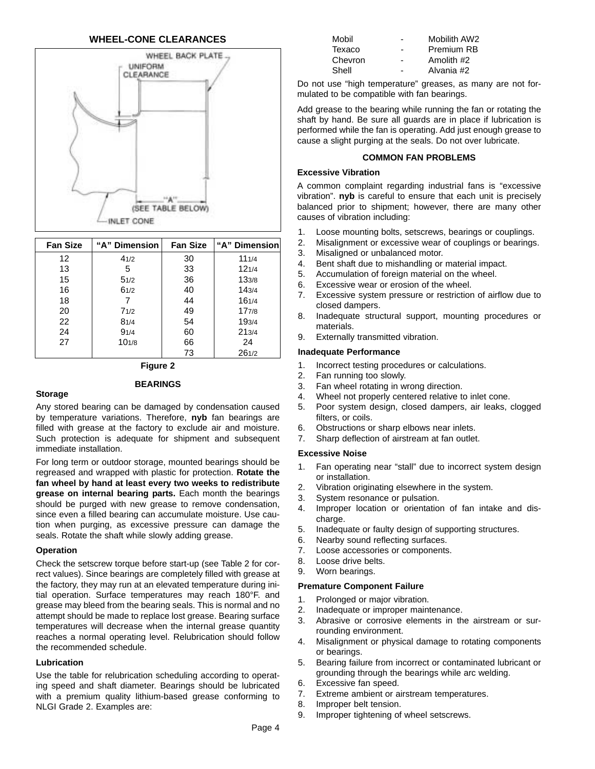## **WHEEL-CONE CLEARANCES**



| <b>Fan Size</b> | "A" Dimension | <b>Fan Size</b> | "A" Dimension |
|-----------------|---------------|-----------------|---------------|
| 12              | 41/2          | 30              | 111/4         |
| 13              | 5             | 33              | 121/4         |
| 15              | 51/2          | 36              | 133/8         |
| 16              | 61/2          | 40              | 143/4         |
| 18              | 7             | 44              | 161/4         |
| 20              | 71/2          | 49              | 177/8         |
| 22              | 81/4          | 54              | 193/4         |
| 24              | 91/4          | 60              | 213/4         |
| 27              | 101/8         | 66              | 24            |
|                 |               | 73              | 261/2         |

**Figure 2**

**BEARINGS**

#### **Storage**

Any stored bearing can be damaged by condensation caused by temperature variations. Therefore, **nyb** fan bearings are filled with grease at the factory to exclude air and moisture. Such protection is adequate for shipment and subsequent immediate installation.

For long term or outdoor storage, mounted bearings should be regreased and wrapped with plastic for protection. **Rotate the fan wheel by hand at least every two weeks to redistribute grease on internal bearing parts.** Each month the bearings should be purged with new grease to remove condensation, since even a filled bearing can accumulate moisture. Use caution when purging, as excessive pressure can damage the seals. Rotate the shaft while slowly adding grease.

## **Operation**

Check the setscrew torque before start-up (see Table 2 for correct values). Since bearings are completely filled with grease at the factory, they may run at an elevated temperature during initial operation. Surface temperatures may reach 180°F. and grease may bleed from the bearing seals. This is normal and no attempt should be made to replace lost grease. Bearing surface temperatures will decrease when the internal grease quantity reaches a normal operating level. Relubrication should follow the recommended schedule.

## **Lubrication**

Use the table for relubrication scheduling according to operating speed and shaft diameter. Bearings should be lubricated with a premium quality lithium-based grease conforming to NLGI Grade 2. Examples are:

| Mobil   | $\overline{\phantom{0}}$ | Mobilith AW2 |
|---------|--------------------------|--------------|
| Texaco  | $\overline{\phantom{0}}$ | Premium RB   |
| Chevron | $\blacksquare$           | Amolith #2   |
| Shell   | $\blacksquare$           | Alvania #2   |

Do not use "high temperature" greases, as many are not formulated to be compatible with fan bearings.

Add grease to the bearing while running the fan or rotating the shaft by hand. Be sure all guards are in place if lubrication is performed while the fan is operating. Add just enough grease to cause a slight purging at the seals. Do not over lubricate.

## **COMMON FAN PROBLEMS**

## **Excessive Vibration**

A common complaint regarding industrial fans is "excessive vibration". **nyb** is careful to ensure that each unit is precisely balanced prior to shipment; however, there are many other causes of vibration including:

- 1. Loose mounting bolts, setscrews, bearings or couplings.
- 2. Misalignment or excessive wear of couplings or bearings.
- 3. Misaligned or unbalanced motor.
- 4. Bent shaft due to mishandling or material impact.
- 5. Accumulation of foreign material on the wheel.
- 6. Excessive wear or erosion of the wheel.
- 7. Excessive system pressure or restriction of airflow due to closed dampers.
- 8. Inadequate structural support, mounting procedures or materials.
- 9. Externally transmitted vibration.

## **Inadequate Performance**

- 1. Incorrect testing procedures or calculations.
- 2. Fan running too slowly.
- 3. Fan wheel rotating in wrong direction.
- 4. Wheel not properly centered relative to inlet cone.
- 5. Poor system design, closed dampers, air leaks, clogged filters, or coils.
- 6. Obstructions or sharp elbows near inlets.
- 7. Sharp deflection of airstream at fan outlet.

## **Excessive Noise**

- 1. Fan operating near "stall" due to incorrect system design or installation.
- 2. Vibration originating elsewhere in the system.
- 3. System resonance or pulsation.
- 4. Improper location or orientation of fan intake and discharge.
- 5. Inadequate or faulty design of supporting structures.
- 6. Nearby sound reflecting surfaces.
- 7. Loose accessories or components.
- 8. Loose drive belts.
- 9. Worn bearings.

## **Premature Component Failure**

- 1. Prolonged or major vibration.
- 2. Inadequate or improper maintenance.
- 3. Abrasive or corrosive elements in the airstream or surrounding environment.
- 4. Misalignment or physical damage to rotating components or bearings.
- 5. Bearing failure from incorrect or contaminated lubricant or grounding through the bearings while arc welding.
- 6. Excessive fan speed.
- 7. Extreme ambient or airstream temperatures.
- 8. Improper belt tension.
- 9. Improper tightening of wheel setscrews.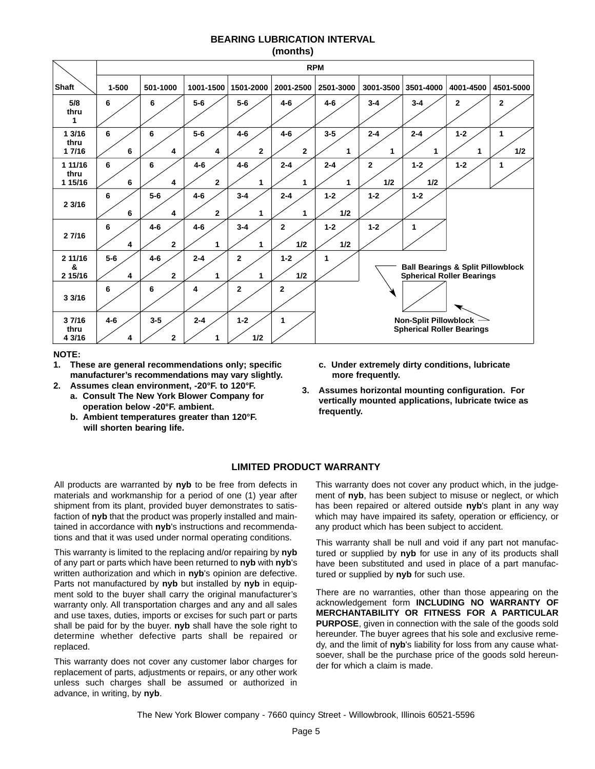## **BEARING LUBRICATION INTERVAL (months)**

|                            | <b>RPM</b>   |                           |                         |                         |                         |                |                     |                              |                                                                                  |              |
|----------------------------|--------------|---------------------------|-------------------------|-------------------------|-------------------------|----------------|---------------------|------------------------------|----------------------------------------------------------------------------------|--------------|
| Shaft                      | 1-500        | 501-1000                  | 1001-1500               | 1501-2000               | 2001-2500               | 2501-3000      | 3001-3500           | 3501-4000                    | 4001-4500                                                                        | 4501-5000    |
| 5/8<br>thru<br>1           | 6            | 6                         | $5-6$                   | $5-6$                   | $4 - 6$                 | $4 - 6$        | $3 - 4$             | $3 - 4$                      | $\mathbf{2}$                                                                     | $\mathbf{2}$ |
| 1 3/16<br>thru<br>1 7/16   | 6<br>6       | 6<br>4                    | $5-6$<br>4              | $4 - 6$<br>$\mathbf{2}$ | $4 - 6$<br>$\mathbf{2}$ | $3-5$<br>1     | $2 - 4$<br>1        | $2 - 4$<br>1                 | $1 - 2$<br>1                                                                     | 1<br>1/2     |
| 1 11/16<br>thru<br>1 15/16 | 6<br>6       | 6<br>4                    | $4 - 6$<br>$\mathbf{2}$ | $4 - 6$<br>1            | $2 - 4$<br>1            | $2 - 4$        | $\mathbf{2}$<br>1/2 | $1 - 2$<br>1/2               | $1 - 2$                                                                          |              |
| 23/16                      | 6<br>6       | $5-6$<br>4                | $4-6$<br>$\mathbf{2}$   | $3 - 4$<br>1            | $2 - 4$<br>1            | $1 - 2$<br>1/2 | $1 - 2$             | $1 - 2$                      |                                                                                  |              |
| 2 7/16                     | 6<br>4       | $4-6$<br>$\mathbf{2}$     | $4-6$<br>1              | $3 - 4$<br>1            | $\mathbf{2}$<br>1/2     | $1 - 2$<br>1/2 | $1 - 2$             | 1                            |                                                                                  |              |
| 2 11/16<br>&<br>2 15/16    | $5-6$<br>4   | $4 - 6$<br>$\overline{2}$ | $2 - 4$<br>1            | $\overline{2}$<br>1     | $1 - 2$<br>1/2          | 1              |                     |                              | <b>Ball Bearings &amp; Split Pillowblock</b><br><b>Spherical Roller Bearings</b> |              |
| 33/16                      | 6            | 6                         | 4                       | $\mathbf{2}$            | $\mathbf{2}$            |                |                     |                              |                                                                                  |              |
| 3 7/16<br>thru<br>4 3/16   | $4 - 6$<br>4 | $3-5$<br>$\overline{2}$   | $2 - 4$<br>1            | $1 - 2$<br>1/2          | 1                       |                |                     | <b>Non-Split Pillowblock</b> | <b>Spherical Roller Bearings</b>                                                 |              |

**NOTE:**

- **1. These are general recommendations only; specific manufacturer's recommendations may vary slightly.**
- **2. Assumes clean environment, -20°F. to 120°F. a. Consult The New York Blower Company for operation below -20°F. ambient.**
	- **b. Ambient temperatures greater than 120°F. will shorten bearing life.**
- **c. Under extremely dirty conditions, lubricate more frequently.**
- **3. Assumes horizontal mounting configuration. For vertically mounted applications, lubricate twice as frequently.**

## **LIMITED PRODUCT WARRANTY**

All products are warranted by **nyb** to be free from defects in materials and workmanship for a period of one (1) year after shipment from its plant, provided buyer demonstrates to satisfaction of **nyb** that the product was properly installed and maintained in accordance with **nyb**'s instructions and recommendations and that it was used under normal operating conditions.

This warranty is limited to the replacing and/or repairing by **nyb** of any part or parts which have been returned to **nyb** with **nyb**'s written authorization and which in **nyb**'s opinion are defective. Parts not manufactured by **nyb** but installed by **nyb** in equipment sold to the buyer shall carry the original manufacturer's warranty only. All transportation charges and any and all sales and use taxes, duties, imports or excises for such part or parts shall be paid for by the buyer. **nyb** shall have the sole right to determine whether defective parts shall be repaired or replaced.

This warranty does not cover any customer labor charges for replacement of parts, adjustments or repairs, or any other work unless such charges shall be assumed or authorized in advance, in writing, by **nyb**.

This warranty does not cover any product which, in the judgement of **nyb**, has been subject to misuse or neglect, or which has been repaired or altered outside **nyb**'s plant in any way which may have impaired its safety, operation or efficiency, or any product which has been subject to accident.

This warranty shall be null and void if any part not manufactured or supplied by **nyb** for use in any of its products shall have been substituted and used in place of a part manufactured or supplied by **nyb** for such use.

There are no warranties, other than those appearing on the acknowledgement form **INCLUDING NO WARRANTY OF MERCHANTABILITY OR FITNESS FOR A PARTICULAR PURPOSE**, given in connection with the sale of the goods sold hereunder. The buyer agrees that his sole and exclusive remedy, and the limit of **nyb**'s liability for loss from any cause whatsoever, shall be the purchase price of the goods sold hereunder for which a claim is made.

The New York Blower company - 7660 quincy Street - Willowbrook, Illinois 60521-5596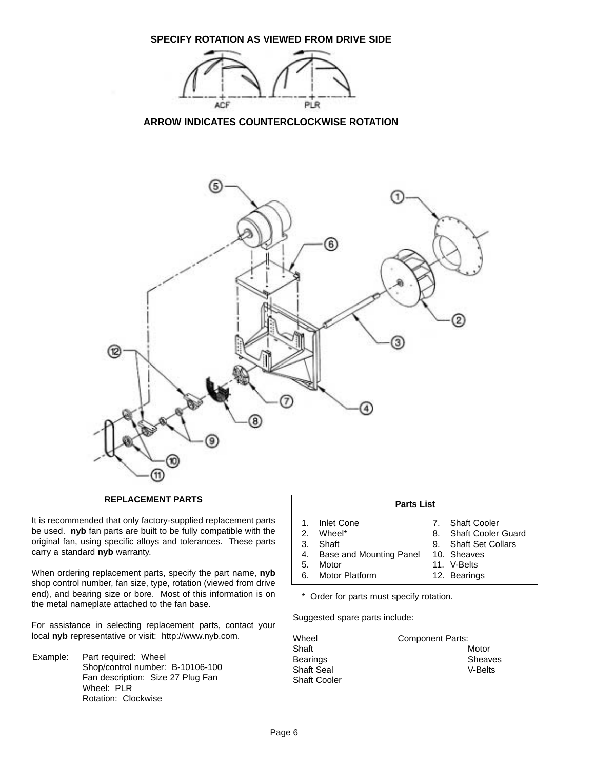

#### **REPLACEMENT PARTS**

It is recommended that only factory-supplied replacement parts be used. **nyb** fan parts are built to be fully compatible with the original fan, using specific alloys and tolerances. These parts carry a standard **nyb** warranty.

When ordering replacement parts, specify the part name, **nyb** shop control number, fan size, type, rotation (viewed from drive end), and bearing size or bore. Most of this information is on the metal nameplate attached to the fan base.

For assistance in selecting replacement parts, contact your local **nyb** representative or visit: http://www.nyb.com.

Example: Part required: Wheel Shop/control number: B-10106-100 Fan description: Size 27 Plug Fan Wheel: PLR Rotation: Clockwise

| $\overline{1}$ .<br>$\mathcal{P}$<br>3. | Inlet Cone<br>Wheel*<br>Shaft | 7. Shaft Cooler<br>8. Shaft Cooler Guard<br>9. Shaft Set Collars |
|-----------------------------------------|-------------------------------|------------------------------------------------------------------|
|                                         | 4. Base and Mounting Panel    | 10. Sheaves                                                      |
| 5.                                      | Motor                         | 11. V-Belts                                                      |
| 6.                                      | <b>Motor Platform</b>         | 12. Bearings                                                     |

**Parts List**

\* Order for parts must specify rotation.

Suggested spare parts include:

| Wheel               | <b>Component Parts:</b> |
|---------------------|-------------------------|
| Shaft               | Motor                   |
| <b>Bearings</b>     | Sheaves                 |
| Shaft Seal          | V-Belts                 |
| <b>Shaft Cooler</b> |                         |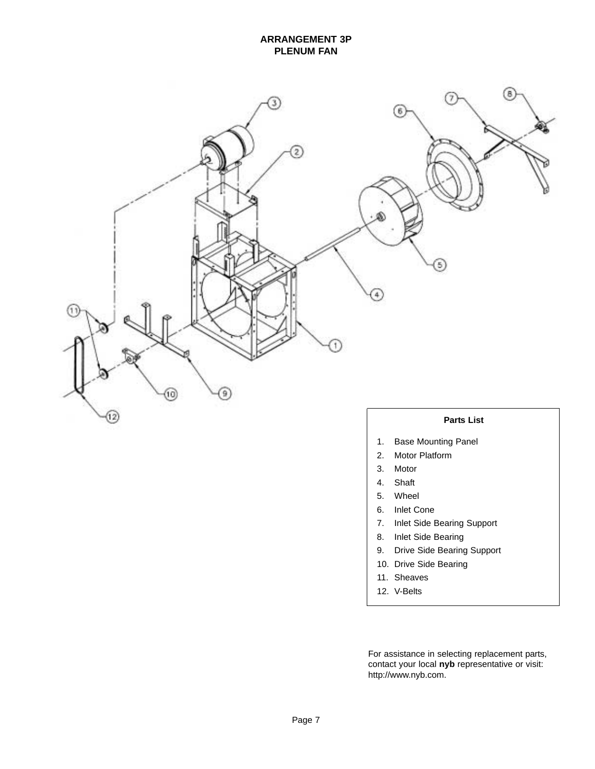## **ARRANGEMENT 3P PLENUM FAN**



## **Parts List**

- 1. Base Mounting Panel
- 2. Motor Platform
- 3. Motor
- 4. Shaft
- 5. Wheel
- 6. Inlet Cone
- 7. Inlet Side Bearing Support
- 8. Inlet Side Bearing
- 9. Drive Side Bearing Support
- 10. Drive Side Bearing
- 11. Sheaves
- 12. V-Belts

For assistance in selecting replacement parts, contact your local **nyb** representative or visit: http://www.nyb.com.